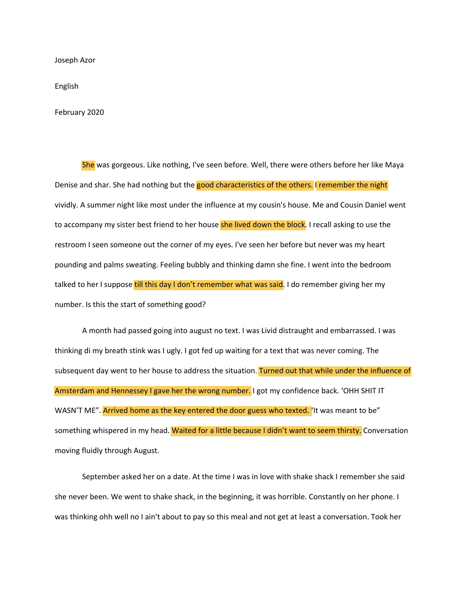Joseph Azor

English

February 2020

She was gorgeous. Like nothing, I've seen before. Well, there were others before her like Maya Denise and shar. She had nothing but the good characteristics of the others. I remember the night vividly. A summer night like most under the influence at my cousin's house. Me and Cousin Daniel went to accompany my sister best friend to her house she lived down the block. I recall asking to use the restroom I seen someone out the corner of my eyes. I've seen her before but never was my heart pounding and palms sweating. Feeling bubbly and thinking damn she fine. I went into the bedroom talked to her I suppose till this day I don't remember what was said. I do remember giving her my number. Is this the start of something good?

A month had passed going into august no text. I was Livid distraught and embarrassed. I was thinking di my breath stink was I ugly. I got fed up waiting for a text that was never coming. The subsequent day went to her house to address the situation. Turned out that while under the influence of Amsterdam and Hennessey I gave her the wrong number. I got my confidence back. 'OHH SHIT IT WASN'T ME". Arrived home as the key entered the door guess who texted. 'It was meant to be" something whispered in my head. Waited for a little because I didn't want to seem thirsty. Conversation moving fluidly through August.

September asked her on a date. At the time I was in love with shake shack I remember she said she never been. We went to shake shack, in the beginning, it was horrible. Constantly on her phone. I was thinking ohh well no I ain't about to pay so this meal and not get at least a conversation. Took her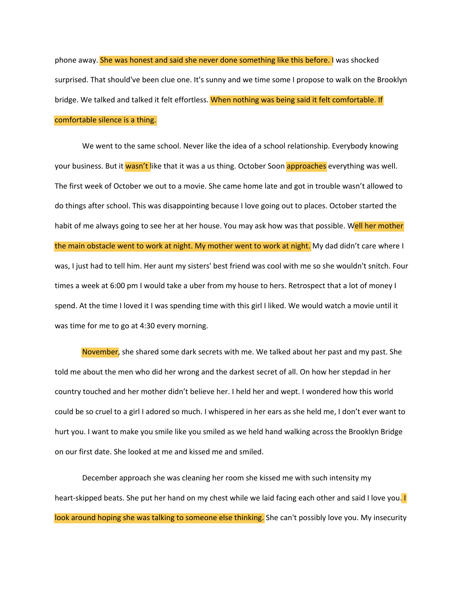phone away. **She was honest and said she never done something like this before. I was shocked** surprised. That should've been clue one. It's sunny and we time some I propose to walk on the Brooklyn bridge. We talked and talked it felt effortless. When nothing was being said it felt comfortable. If comfortable silence is a thing.

We went to the same school. Never like the idea of a school relationship. Everybody knowing your business. But it wasn't like that it was a us thing. October Soon approaches everything was well. The first week of October we out to a movie. She came home late and got in trouble wasn't allowed to do things after school. This was disappointing because I love going out to places. October started the habit of me always going to see her at her house. You may ask how was that possible. Well her mother the main obstacle went to work at night. My mother went to work at night. My dad didn't care where I was, I just had to tell him. Her aunt my sisters' best friend was cool with me so she wouldn't snitch. Four times a week at 6:00 pm I would take a uber from my house to hers. Retrospect that a lot of money I spend. At the time I loved it I was spending time with this girl I liked. We would watch a movie until it was time for me to go at 4:30 every morning.

November, she shared some dark secrets with me. We talked about her past and my past. She told me about the men who did her wrong and the darkest secret of all. On how her stepdad in her country touched and her mother didn't believe her. I held her and wept. I wondered how this world could be so cruel to a girl I adored so much. I whispered in her ears as she held me, I don't ever want to hurt you. I want to make you smile like you smiled as we held hand walking across the Brooklyn Bridge on our first date. She looked at me and kissed me and smiled.

December approach she was cleaning her room she kissed me with such intensity my heart-skipped beats. She put her hand on my chest while we laid facing each other and said I love you. I look around hoping she was talking to someone else thinking. She can't possibly love you. My insecurity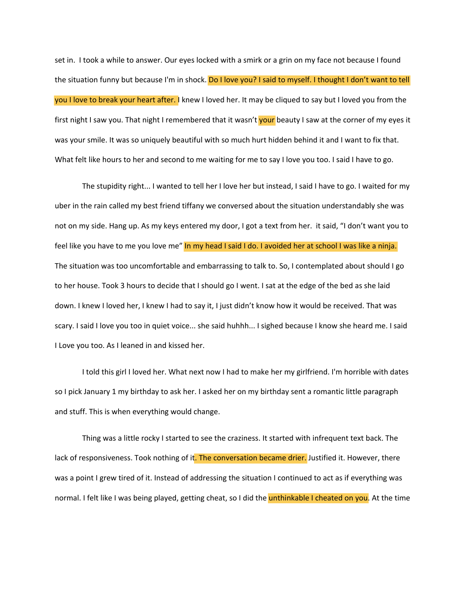set in. I took a while to answer. Our eyes locked with a smirk or a grin on my face not because I found the situation funny but because I'm in shock. Do I love you? I said to myself. I thought I don't want to tell you I love to break your heart after. I knew I loved her. It may be cliqued to say but I loved you from the first night I saw you. That night I remembered that it wasn't your beauty I saw at the corner of my eyes it was your smile. It was so uniquely beautiful with so much hurt hidden behind it and I want to fix that. What felt like hours to her and second to me waiting for me to say I love you too. I said I have to go.

The stupidity right... I wanted to tell her I love her but instead, I said I have to go. I waited for my uber in the rain called my best friend tiffany we conversed about the situation understandably she was not on my side. Hang up. As my keys entered my door, I got a text from her. it said, "I don't want you to feel like you have to me you love me" In my head I said I do. I avoided her at school I was like a ninja. The situation was too uncomfortable and embarrassing to talk to. So, I contemplated about should I go to her house. Took 3 hours to decide that I should go I went. I sat at the edge of the bed as she laid down. I knew I loved her, I knew I had to say it, I just didn't know how it would be received. That was scary. I said I love you too in quiet voice... she said huhhh... I sighed because I know she heard me. I said I Love you too. As I leaned in and kissed her.

I told this girl I loved her. What next now I had to make her my girlfriend. I'm horrible with dates so I pick January 1 my birthday to ask her. I asked her on my birthday sent a romantic little paragraph and stuff. This is when everything would change.

Thing was a little rocky I started to see the craziness. It started with infrequent text back. The lack of responsiveness. Took nothing of it. The conversation became drier. Justified it. However, there was a point I grew tired of it. Instead of addressing the situation I continued to act as if everything was normal. I felt like I was being played, getting cheat, so I did the unthinkable I cheated on you. At the time